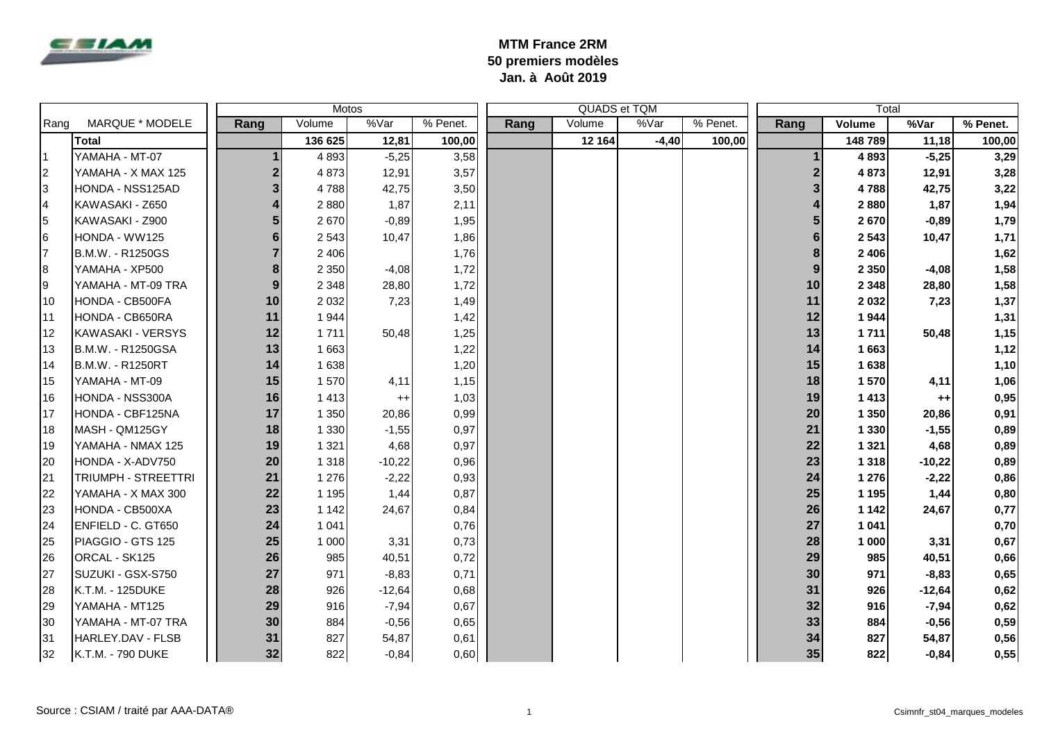

## **MTM France 2RM 50 premiers modèles Jan. à Août 2019**

|                | Motos                      |      |         |                 |          |      |        | QUADS et TQM |          | Total |         |          |          |
|----------------|----------------------------|------|---------|-----------------|----------|------|--------|--------------|----------|-------|---------|----------|----------|
| Rang           | <b>MARQUE * MODELE</b>     | Rang | Volume  | %Var            | % Penet. | Rang | Volume | %Var         | % Penet. | Rang  | Volume  | %Var     | % Penet. |
|                | <b>Total</b>               |      | 136 625 | 12,81           | 100,00   |      | 12 164 | $-4,40$      | 100,00   |       | 148789  | 11,18    | 100,00   |
| l 1            | YAMAHA - MT-07             |      | 4 8 9 3 | $-5,25$         | 3,58     |      |        |              |          |       | 4893    | $-5,25$  | 3,29     |
| 2              | YAMAHA - X MAX 125         |      | 4873    | 12,91           | 3,57     |      |        |              |          |       | 4873    | 12,91    | 3,28     |
| 3              | HONDA - NSS125AD           |      | 4788    | 42,75           | 3,50     |      |        |              |          |       | 4788    | 42,75    | 3,22     |
| $\overline{4}$ | KAWASAKI - Z650            |      | 2880    | 1,87            | 2,11     |      |        |              |          |       | 2880    | 1,87     | 1,94     |
| 5              | KAWASAKI - Z900            |      | 2670    | $-0,89$         | 1,95     |      |        |              |          |       | 2670    | $-0,89$  | 1,79     |
| 6              | HONDA - WW125              |      | 2 5 4 3 | 10,47           | 1,86     |      |        |              |          | 6     | 2 5 4 3 | 10,47    | 1,71     |
|                | B.M.W. - R1250GS           |      | 2 4 0 6 |                 | 1,76     |      |        |              |          | 8     | 2 4 0 6 |          | 1,62     |
| 8              | YAMAHA - XP500             | 8    | 2 3 5 0 | $-4,08$         | 1,72     |      |        |              |          | 9     | 2 3 5 0 | $-4,08$  | 1,58     |
| 9              | YAMAHA - MT-09 TRA         | 9    | 2 3 4 8 | 28,80           | 1,72     |      |        |              |          | 10    | 2 3 4 8 | 28,80    | 1,58     |
| 10             | HONDA - CB500FA            | 10   | 2 0 3 2 | 7,23            | 1,49     |      |        |              |          | 11    | 2 0 3 2 | 7,23     | 1,37     |
| l 11           | HONDA - CB650RA            | 11   | 1944    |                 | 1,42     |      |        |              |          | 12    | 1944    |          | 1,31     |
| 12             | KAWASAKI - VERSYS          | 12   | 1711    | 50,48           | 1,25     |      |        |              |          | 13    | 1711    | 50,48    | 1,15     |
| 13             | B.M.W. - R1250GSA          | 13   | 1 6 6 3 |                 | 1,22     |      |        |              |          | 14    | 1663    |          | 1,12     |
| 14             | B.M.W. - R1250RT           | 14   | 1 638   |                 | 1,20     |      |        |              |          | 15    | 1638    |          | 1,10     |
| 15             | YAMAHA - MT-09             | 15   | 1570    | 4,11            | 1,15     |      |        |              |          | 18    | 1570    | 4,11     | 1,06     |
| 16             | HONDA - NSS300A            | 16   | 1 4 1 3 | $^{\mathrm{+}}$ | 1,03     |      |        |              |          | 19    | 1413    | $^{++}$  | 0,95     |
| 17             | HONDA - CBF125NA           | 17   | 1 3 5 0 | 20,86           | 0,99     |      |        |              |          | 20    | 1 350   | 20,86    | 0,91     |
| 18             | MASH - QM125GY             | 18   | 1 3 3 0 | $-1,55$         | 0,97     |      |        |              |          | 21    | 1 3 3 0 | $-1,55$  | 0,89     |
| 19             | YAMAHA - NMAX 125          | 19   | 1 3 2 1 | 4,68            | 0,97     |      |        |              |          | 22    | 1 3 2 1 | 4,68     | 0,89     |
| 20             | HONDA - X-ADV750           | 20   | 1 3 1 8 | $-10,22$        | 0,96     |      |        |              |          | 23    | 1 3 1 8 | $-10,22$ | 0,89     |
| 21             | <b>TRIUMPH - STREETTRI</b> | 21   | 1 2 7 6 | $-2,22$         | 0,93     |      |        |              |          | 24    | 1 2 7 6 | $-2,22$  | 0,86     |
| 22             | YAMAHA - X MAX 300         | 22   | 1 1 9 5 | 1,44            | 0,87     |      |        |              |          | 25    | 1 1 9 5 | 1,44     | 0,80     |
| 23             | HONDA - CB500XA            | 23   | 1 1 4 2 | 24,67           | 0,84     |      |        |              |          | 26    | 1 1 4 2 | 24,67    | 0,77     |
| 24             | ENFIELD - C. GT650         | 24   | 1 0 4 1 |                 | 0,76     |      |        |              |          | 27    | 1 0 4 1 |          | 0,70     |
| 25             | PIAGGIO - GTS 125          | 25   | 1 0 0 0 | 3,31            | 0,73     |      |        |              |          | 28    | 1 000   | 3,31     | 0,67     |
| 26             | ORCAL - SK125              | 26   | 985     | 40,51           | 0,72     |      |        |              |          | 29    | 985     | 40,51    | 0,66     |
| 27             | SUZUKI - GSX-S750          | 27   | 971     | $-8,83$         | 0,71     |      |        |              |          | 30    | 971     | $-8,83$  | 0,65     |
| 28             | K.T.M. - 125DUKE           | 28   | 926     | $-12,64$        | 0,68     |      |        |              |          | 31    | 926     | $-12,64$ | 0,62     |
| 29             | YAMAHA - MT125             | 29   | 916     | $-7,94$         | 0,67     |      |        |              |          | 32    | 916     | $-7,94$  | 0,62     |
| 30             | YAMAHA - MT-07 TRA         | 30   | 884     | $-0,56$         | 0,65     |      |        |              |          | 33    | 884     | $-0,56$  | 0,59     |
| 31             | HARLEY.DAV - FLSB          | 31   | 827     | 54,87           | 0,61     |      |        |              |          | 34    | 827     | 54,87    | 0,56     |
| 32             | K.T.M. - 790 DUKE          | 32   | 822     | $-0,84$         | 0,60     |      |        |              |          | 35    | 822     | $-0,84$  | 0,55     |